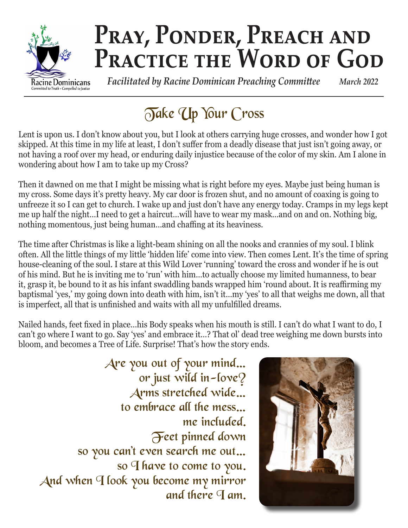

# PRAY, PONDER, PREACH AND PRACTICE THE WORD OF GOD

 *Facilitated by Racine Dominican Preaching Committee March 2022*

## Take Up Your Cross

Lent is upon us. I don't know about you, but I look at others carrying huge crosses, and wonder how I got skipped. At this time in my life at least, I don't suffer from a deadly disease that just isn't going away, or not having a roof over my head, or enduring daily injustice because of the color of my skin. Am I alone in wondering about how I am to take up my Cross?

Then it dawned on me that I might be missing what is right before my eyes. Maybe just being human is my cross. Some days it's pretty heavy. My car door is frozen shut, and no amount of coaxing is going to unfreeze it so I can get to church. I wake up and just don't have any energy today. Cramps in my legs kept me up half the night…I need to get a haircut…will have to wear my mask…and on and on. Nothing big, nothing momentous, just being human…and chaffing at its heaviness.

The time after Christmas is like a light-beam shining on all the nooks and crannies of my soul. I blink often. All the little things of my little 'hidden life' come into view. Then comes Lent. It's the time of spring house-cleaning of the soul. I stare at this Wild Lover 'running' toward the cross and wonder if he is out of his mind. But he is inviting me to 'run' with him…to actually choose my limited humanness, to bear it, grasp it, be bound to it as his infant swaddling bands wrapped him 'round about. It is reaffirming my baptismal 'yes,' my going down into death with him, isn't it…my 'yes' to all that weighs me down, all that is imperfect, all that is unfinished and waits with all my unfulfilled dreams.

Nailed hands, feet fixed in place…his Body speaks when his mouth is still. I can't do what I want to do, I can't go where I want to go. Say 'yes' and embrace it…? That ol' dead tree weighing me down bursts into bloom, and becomes a Tree of Life. Surprise! That's how the story ends.

Are you out of your mind… or just wild in-love? Arms stretched wide… to embrace all the mess… me included. Feet pinned down so you can't even search me out… so I have to come to you. And when I look you become my mirror and there  $\P$  am.